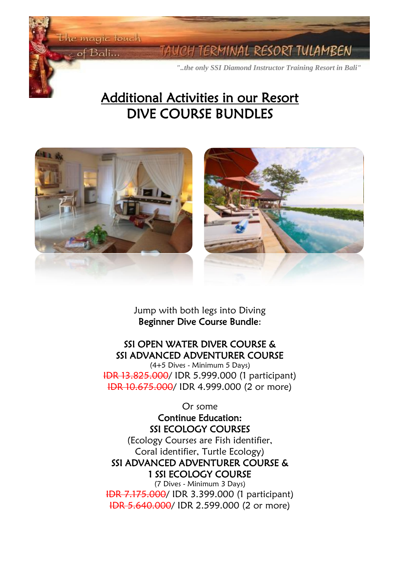the magic touch

 $of$  Bali...

Ĭ **Contract Contract Contract Contract** 

I

ERMINAL RESORT TULAMBEN

*"..the only SSI Diamond Instructor Training Resort in Bali"*

# Additional Activities in our Resort DIVE COURSE BUNDLES



Jump with both legs into Diving Beginner Dive Course Bundle:

## SSI OPEN WATER DIVER COURSE & SSI ADVANCED ADVENTURER COURSE

(4+5 Dives - Minimum 5 Days) IDR 13.825.000/ IDR 5.999.000 (1 participant) IDR 10.675.000/ IDR 4.999.000 (2 or more)

Or some

Continue Education: SSI ECOLOGY COURSES

(Ecology Courses are Fish identifier, Coral identifier, Turtle Ecology) SSI ADVANCED ADVENTURER COURSE & 1 SSI ECOLOGY COURSE

(7 Dives - Minimum 3 Days) IDR 7.175.000/ IDR 3.399.000 (1 participant) IDR 5.640.000/ IDR 2.599.000 (2 or more)